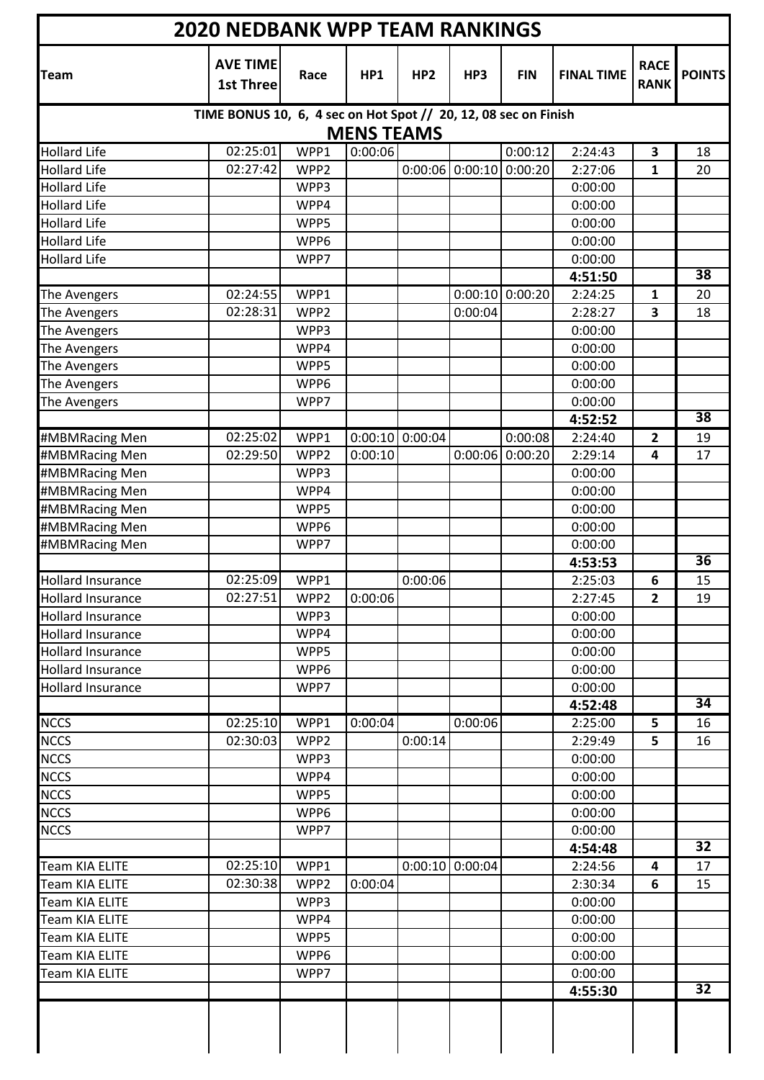| <b>Team</b>              | <b>AVE TIME</b><br><b>1st Three</b>                             | Race             | HP1               | HP <sub>2</sub>   | HP3               | <b>FIN</b> | <b>FINAL TIME</b> | <b>RACE</b><br><b>RANK</b> | <b>POINTS</b>   |
|--------------------------|-----------------------------------------------------------------|------------------|-------------------|-------------------|-------------------|------------|-------------------|----------------------------|-----------------|
|                          | TIME BONUS 10, 6, 4 sec on Hot Spot // 20, 12, 08 sec on Finish |                  | <b>MENS TEAMS</b> |                   |                   |            |                   |                            |                 |
| <b>Hollard Life</b>      | 02:25:01                                                        | WPP1             | 0:00:06           |                   |                   | 0:00:12    | 2:24:43           | 3                          | 18              |
| <b>Hollard Life</b>      | 02:27:42                                                        | WPP <sub>2</sub> |                   | 0:00:06           | 0:00:10           | 0:00:20    | 2:27:06           | 1                          | 20              |
| <b>Hollard Life</b>      |                                                                 | WPP3             |                   |                   |                   |            | 0:00:00           |                            |                 |
| <b>Hollard Life</b>      |                                                                 | WPP4             |                   |                   |                   |            | 0:00:00           |                            |                 |
| <b>Hollard Life</b>      |                                                                 | WPP5             |                   |                   |                   |            | 0:00:00           |                            |                 |
| <b>Hollard Life</b>      |                                                                 | WPP6             |                   |                   |                   |            | 0:00:00           |                            |                 |
| <b>Hollard Life</b>      |                                                                 | WPP7             |                   |                   |                   |            | 0:00:00           |                            |                 |
|                          |                                                                 |                  |                   |                   |                   |            | 4:51:50           |                            | 38              |
| The Avengers             | 02:24:55                                                        | WPP1             |                   |                   | 0:00:10           | 0:00:20    | 2:24:25           | 1                          | 20              |
| The Avengers             | 02:28:31                                                        | WPP <sub>2</sub> |                   |                   | 0:00:04           |            | 2:28:27           | 3                          | 18              |
| The Avengers             |                                                                 | WPP3             |                   |                   |                   |            | 0:00:00           |                            |                 |
| The Avengers             |                                                                 | WPP4             |                   |                   |                   |            | 0:00:00           |                            |                 |
| The Avengers             |                                                                 | WPP5             |                   |                   |                   |            | 0:00:00           |                            |                 |
| The Avengers             |                                                                 | WPP6             |                   |                   |                   |            | 0:00:00           |                            |                 |
| The Avengers             |                                                                 | WPP7             |                   |                   |                   |            | 0:00:00           |                            |                 |
|                          |                                                                 |                  |                   |                   |                   |            | 4:52:52           |                            | $\overline{38}$ |
| #MBMRacing Men           | 02:25:02                                                        | WPP1             |                   | $0:00:10$ 0:00:04 |                   | 0:00:08    | 2:24:40           | 2                          | 19              |
| #MBMRacing Men           | 02:29:50                                                        | WPP <sub>2</sub> | 0:00:10           |                   | 0:00:06           | 0:00:20    | 2:29:14           | 4                          | 17              |
| #MBMRacing Men           |                                                                 | WPP3             |                   |                   |                   |            | 0:00:00           |                            |                 |
| #MBMRacing Men           |                                                                 | WPP4             |                   |                   |                   |            | 0:00:00           |                            |                 |
| #MBMRacing Men           |                                                                 | WPP5             |                   |                   |                   |            | 0:00:00           |                            |                 |
| #MBMRacing Men           |                                                                 | WPP6             |                   |                   |                   |            | 0:00:00           |                            |                 |
| #MBMRacing Men           |                                                                 | WPP7             |                   |                   |                   |            | 0:00:00           |                            |                 |
|                          |                                                                 |                  |                   |                   |                   |            | 4:53:53           |                            | $\overline{36}$ |
| <b>Hollard Insurance</b> | 02:25:09                                                        | WPP1             |                   | 0:00:06           |                   |            | 2:25:03           | 6                          | 15              |
| <b>Hollard Insurance</b> | 02:27:51                                                        | WPP <sub>2</sub> | 0:00:06           |                   |                   |            | 2:27:45           | $\mathbf{2}$               | 19              |
| <b>Hollard Insurance</b> |                                                                 | WPP3             |                   |                   |                   |            | 0:00:00           |                            |                 |
| <b>Hollard Insurance</b> |                                                                 | WPP4             |                   |                   |                   |            | 0:00:00           |                            |                 |
| <b>Hollard Insurance</b> |                                                                 | WPP5             |                   |                   |                   |            | 0:00:00           |                            |                 |
| <b>Hollard Insurance</b> |                                                                 | WPP6             |                   |                   |                   |            | 0:00:00           |                            |                 |
| <b>Hollard Insurance</b> |                                                                 | WPP7             |                   |                   |                   |            | 0:00:00           |                            |                 |
|                          |                                                                 |                  |                   |                   |                   |            | 4:52:48           |                            | 34              |
| <b>NCCS</b>              | 02:25:10                                                        | WPP1             | 0:00:04           |                   | 0:00:06           |            | 2:25:00           | 5                          | 16              |
| <b>NCCS</b>              | 02:30:03                                                        | WPP <sub>2</sub> |                   | 0:00:14           |                   |            | 2:29:49           | 5                          | 16              |
| <b>NCCS</b>              |                                                                 | WPP3             |                   |                   |                   |            | 0:00:00           |                            |                 |
| <b>NCCS</b>              |                                                                 | WPP4             |                   |                   |                   |            | 0:00:00           |                            |                 |
| <b>NCCS</b>              |                                                                 | WPP5             |                   |                   |                   |            | 0:00:00           |                            |                 |
| <b>NCCS</b>              |                                                                 | WPP6             |                   |                   |                   |            | 0:00:00           |                            |                 |
| <b>NCCS</b>              |                                                                 | WPP7             |                   |                   |                   |            | 0:00:00           |                            |                 |
|                          |                                                                 |                  |                   |                   |                   |            | 4:54:48           |                            | $\overline{32}$ |
| <b>Team KIA ELITE</b>    | 02:25:10                                                        | WPP1             |                   |                   | $0:00:10$ 0:00:04 |            | 2:24:56           | 4                          | 17              |
| Team KIA ELITE           | 02:30:38                                                        | WPP <sub>2</sub> | 0:00:04           |                   |                   |            | 2:30:34           | 6                          | 15              |
| Team KIA ELITE           |                                                                 | WPP3             |                   |                   |                   |            | 0:00:00           |                            |                 |
| Team KIA ELITE           |                                                                 | WPP4             |                   |                   |                   |            | 0:00:00           |                            |                 |
| Team KIA ELITE           |                                                                 | WPP5             |                   |                   |                   |            | 0:00:00           |                            |                 |
| Team KIA ELITE           |                                                                 | WPP6             |                   |                   |                   |            | 0:00:00           |                            |                 |
| Team KIA ELITE           |                                                                 | WPP7             |                   |                   |                   |            | 0:00:00           |                            |                 |
|                          |                                                                 |                  |                   |                   |                   |            |                   |                            | 32              |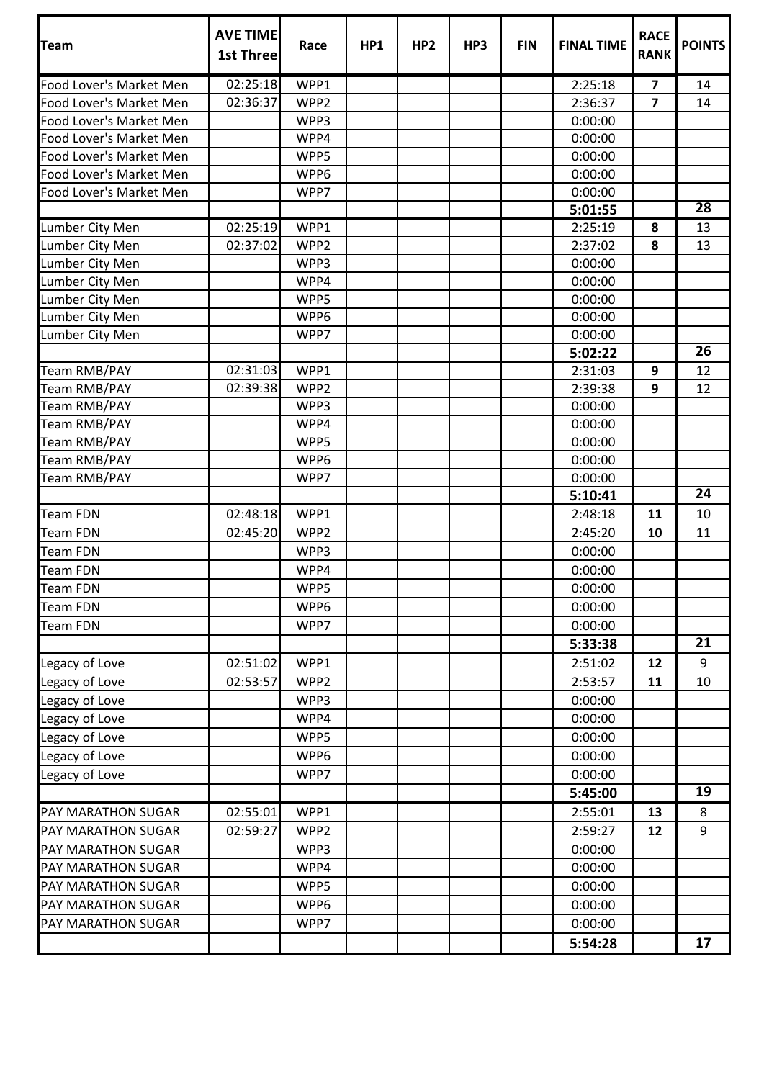| Team                      | <b>AVE TIME</b><br>1st Three | Race             | HP1 | HP <sub>2</sub> | HP3 | <b>FIN</b> | <b>FINAL TIME</b> | <b>RACE</b><br><b>RANK</b> | <b>POINTS</b>   |
|---------------------------|------------------------------|------------------|-----|-----------------|-----|------------|-------------------|----------------------------|-----------------|
| Food Lover's Market Men   | 02:25:18                     | WPP1             |     |                 |     |            | 2:25:18           | $\overline{\mathbf{z}}$    | 14              |
| Food Lover's Market Men   | 02:36:37                     | WPP <sub>2</sub> |     |                 |     |            | 2:36:37           | $\overline{7}$             | 14              |
| Food Lover's Market Men   |                              | WPP3             |     |                 |     |            | 0:00:00           |                            |                 |
| Food Lover's Market Men   |                              | WPP4             |     |                 |     |            | 0:00:00           |                            |                 |
| Food Lover's Market Men   |                              | WPP5             |     |                 |     |            | 0:00:00           |                            |                 |
| Food Lover's Market Men   |                              | WPP6             |     |                 |     |            | 0:00:00           |                            |                 |
| Food Lover's Market Men   |                              | WPP7             |     |                 |     |            | 0:00:00           |                            |                 |
|                           |                              |                  |     |                 |     |            | 5:01:55           |                            | 28              |
| Lumber City Men           | 02:25:19                     | WPP1             |     |                 |     |            | 2:25:19           | 8                          | 13              |
| Lumber City Men           | 02:37:02                     | WPP2             |     |                 |     |            | 2:37:02           | 8                          | 13              |
| Lumber City Men           |                              | WPP3             |     |                 |     |            | 0:00:00           |                            |                 |
| Lumber City Men           |                              | WPP4             |     |                 |     |            | 0:00:00           |                            |                 |
| Lumber City Men           |                              | WPP5             |     |                 |     |            | 0:00:00           |                            |                 |
| Lumber City Men           |                              | WPP6             |     |                 |     |            | 0:00:00           |                            |                 |
| Lumber City Men           |                              | WPP7             |     |                 |     |            | 0:00:00           |                            |                 |
|                           |                              |                  |     |                 |     |            | 5:02:22           |                            | 26              |
| <b>Team RMB/PAY</b>       | 02:31:03                     | WPP1             |     |                 |     |            | 2:31:03           | 9                          | 12              |
| Team RMB/PAY              | 02:39:38                     | WPP2             |     |                 |     |            | 2:39:38           | 9                          | 12              |
| Team RMB/PAY              |                              | WPP3             |     |                 |     |            | 0:00:00           |                            |                 |
| Team RMB/PAY              |                              | WPP4             |     |                 |     |            | 0:00:00           |                            |                 |
| Team RMB/PAY              |                              | WPP5             |     |                 |     |            | 0:00:00           |                            |                 |
| Team RMB/PAY              |                              | WPP6             |     |                 |     |            | 0:00:00           |                            |                 |
| Team RMB/PAY              |                              | WPP7             |     |                 |     |            | 0:00:00           |                            |                 |
|                           |                              |                  |     |                 |     |            | 5:10:41           |                            | $\overline{24}$ |
| Team FDN                  | 02:48:18                     | WPP1             |     |                 |     |            | 2:48:18           | 11                         | 10              |
| <b>Team FDN</b>           | 02:45:20                     | WPP <sub>2</sub> |     |                 |     |            | 2:45:20           | 10                         | 11              |
| <b>Team FDN</b>           |                              | WPP3             |     |                 |     |            | 0:00:00           |                            |                 |
| <b>Team FDN</b>           |                              | WPP4             |     |                 |     |            | 0:00:00           |                            |                 |
| <b>Team FDN</b>           |                              | WPP5             |     |                 |     |            | 0:00:00           |                            |                 |
| <b>Team FDN</b>           |                              | WPP6             |     |                 |     |            | 0:00:00           |                            |                 |
| <b>Team FDN</b>           |                              | WPP7             |     |                 |     |            | 0:00:00           |                            |                 |
|                           |                              |                  |     |                 |     |            | 5:33:38           |                            | 21              |
| Legacy of Love            | 02:51:02                     | WPP1             |     |                 |     |            | 2:51:02           | 12                         | 9               |
| Legacy of Love            | 02:53:57                     | WPP2             |     |                 |     |            | 2:53:57           | 11                         | 10              |
| Legacy of Love            |                              | WPP3             |     |                 |     |            | 0:00:00           |                            |                 |
| Legacy of Love            |                              | WPP4             |     |                 |     |            | 0:00:00           |                            |                 |
| Legacy of Love            |                              | WPP5             |     |                 |     |            | 0:00:00           |                            |                 |
| Legacy of Love            |                              | WPP6             |     |                 |     |            | 0:00:00           |                            |                 |
| Legacy of Love            |                              | WPP7             |     |                 |     |            | 0:00:00           |                            |                 |
|                           |                              |                  |     |                 |     |            | 5:45:00           |                            | 19              |
| <b>PAY MARATHON SUGAR</b> | 02:55:01                     | WPP1             |     |                 |     |            | 2:55:01           | 13                         | 8               |
| PAY MARATHON SUGAR        | 02:59:27                     | WPP2             |     |                 |     |            | 2:59:27           | 12                         | 9               |
| PAY MARATHON SUGAR        |                              | WPP3             |     |                 |     |            | 0:00:00           |                            |                 |
| <b>PAY MARATHON SUGAR</b> |                              | WPP4             |     |                 |     |            | 0:00:00           |                            |                 |
| PAY MARATHON SUGAR        |                              | WPP5             |     |                 |     |            | 0:00:00           |                            |                 |
|                           |                              |                  |     |                 |     |            |                   |                            |                 |
| <b>PAY MARATHON SUGAR</b> |                              | WPP6             |     |                 |     |            | 0:00:00           |                            |                 |
| PAY MARATHON SUGAR        |                              | WPP7             |     |                 |     |            | 0:00:00           |                            |                 |
|                           |                              |                  |     |                 |     |            | 5:54:28           |                            | 17              |